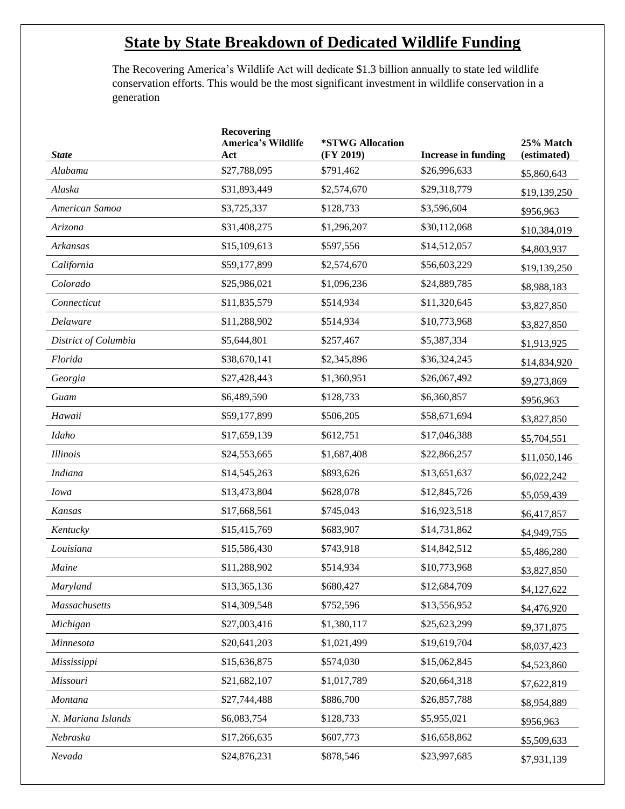## . **State by State Breakdown of Dedicated Wildlife Funding**

The Recovering America's Wildlife Act will dedicate \$1.3 billion annually to state led wildlife conservation efforts. This would be the most significant investment in wildlife conservation in a generation

| <b>State</b>         | <b>Recovering</b><br><b>America's Wildlife</b><br>Act | *STWG Allocation<br>(FY 2019) | <b>Increase in funding</b> | 25% Match<br>(estimated) |
|----------------------|-------------------------------------------------------|-------------------------------|----------------------------|--------------------------|
| Alabama              | \$27,788,095                                          | \$791,462                     | \$26,996,633               | \$5,860,643              |
| Alaska               | \$31,893,449                                          | \$2,574,670                   | \$29,318,779               | \$19,139,250             |
| American Samoa       | \$3,725,337                                           | \$128,733                     | \$3,596,604                | \$956,963                |
| Arizona              | \$31,408,275                                          | \$1,296,207                   | \$30,112,068               | \$10,384,019             |
| Arkansas             | \$15,109,613                                          | \$597,556                     | \$14,512,057               | \$4,803,937              |
| California           | \$59,177,899                                          | \$2,574,670                   | \$56,603,229               | \$19,139,250             |
| Colorado             | \$25,986,021                                          | \$1,096,236                   | \$24,889,785               | \$8,988,183              |
| Connecticut          | \$11,835,579                                          | \$514,934                     | \$11,320,645               | \$3,827,850              |
| Delaware             | \$11,288,902                                          | \$514,934                     | \$10,773,968               | \$3,827,850              |
| District of Columbia | \$5,644,801                                           | \$257,467                     | \$5,387,334                | \$1,913,925              |
| Florida              | \$38,670,141                                          | \$2,345,896                   | \$36,324,245               | \$14,834,920             |
| Georgia              | \$27,428,443                                          | \$1,360,951                   | \$26,067,492               | \$9,273,869              |
| Guam                 | \$6,489,590                                           | \$128,733                     | \$6,360,857                | \$956,963                |
| Hawaii               | \$59,177,899                                          | \$506,205                     | \$58,671,694               | \$3,827,850              |
| Idaho                | \$17,659,139                                          | \$612,751                     | \$17,046,388               | \$5,704,551              |
| <i>Illinois</i>      | \$24,553,665                                          | \$1,687,408                   | \$22,866,257               | \$11,050,146             |
| <b>Indiana</b>       | \$14,545,263                                          | \$893,626                     | \$13,651,637               | \$6,022,242              |
| <b>Iowa</b>          | \$13,473,804                                          | \$628,078                     | \$12,845,726               | \$5,059,439              |
| Kansas               | \$17,668,561                                          | \$745,043                     | \$16,923,518               | \$6,417,857              |
| Kentucky             | \$15,415,769                                          | \$683,907                     | \$14,731,862               | \$4,949,755              |
| Louisiana            | \$15,586,430                                          | \$743,918                     | \$14,842,512               | \$5,486,280              |
| Maine                | \$11,288,902                                          | \$514,934                     | \$10,773,968               | \$3,827,850              |
| Maryland             | \$13,365,136                                          | \$680,427                     | \$12,684,709               | \$4,127,622              |
| Massachusetts        | \$14,309,548                                          | \$752,596                     | \$13,556,952               | \$4,476,920              |
| Michigan             | \$27,003,416                                          | \$1,380,117                   | \$25,623,299               | \$9,371,875              |
| Minnesota            | \$20,641,203                                          | \$1,021,499                   | \$19,619,704               | \$8,037,423              |
| Mississippi          | \$15,636,875                                          | \$574,030                     | \$15,062,845               | \$4,523,860              |
| Missouri             | \$21,682,107                                          | \$1,017,789                   | \$20,664,318               | \$7,622,819              |
| Montana              | \$27,744,488                                          | \$886,700                     | \$26,857,788               | \$8,954,889              |
| N. Mariana Islands   | \$6,083,754                                           | \$128,733                     | \$5,955,021                | \$956,963                |
| Nebraska             | \$17,266,635                                          | \$607,773                     | \$16,658,862               | \$5,509,633              |
| Nevada               | \$24,876,231                                          | \$878,546                     | \$23,997,685               | \$7,931,139              |